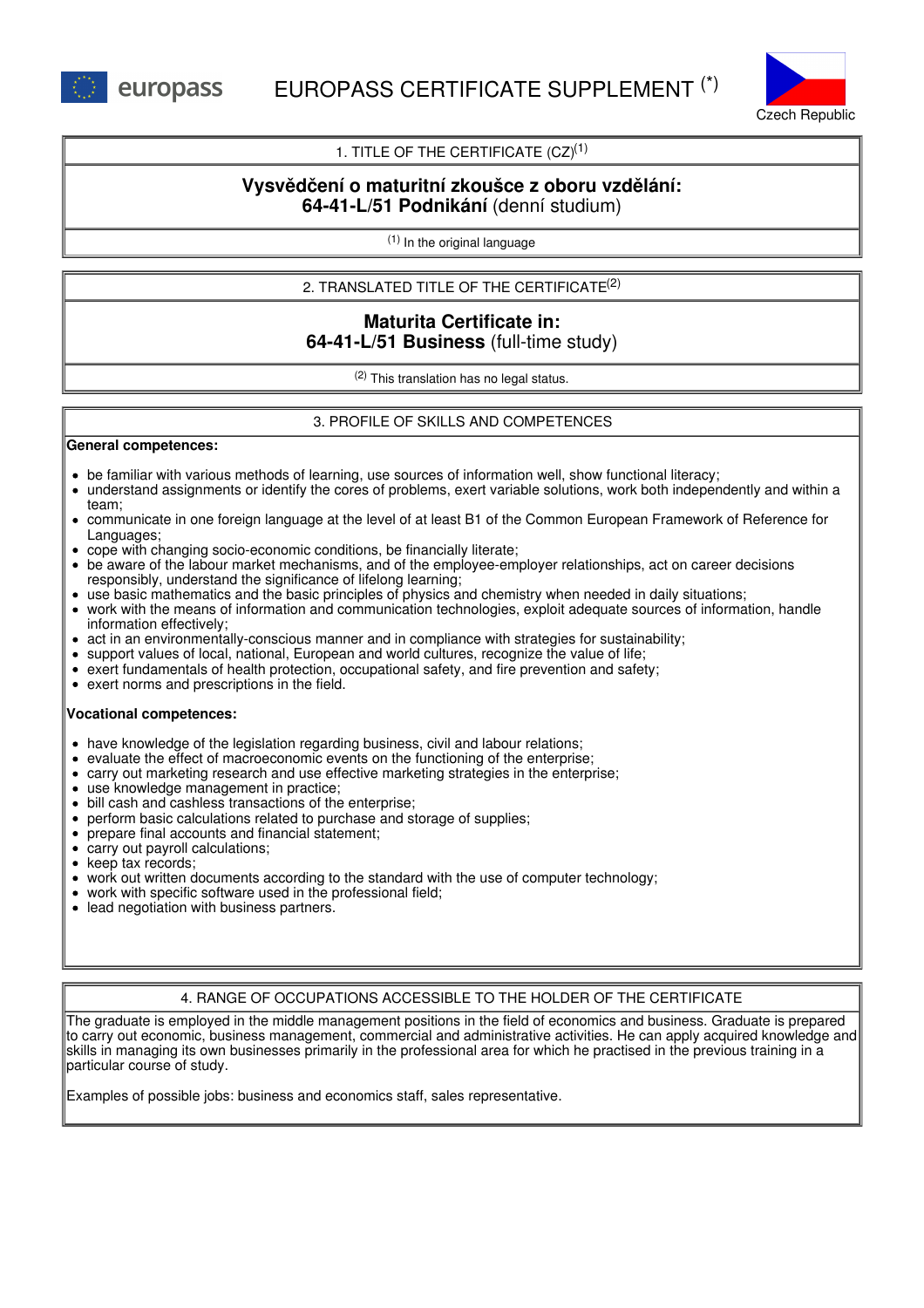

# 1. TITLE OF THE CERTIFICATE  $(CZ)^{(1)}$

# **Vysvědčení o maturitní zkoušce z oboru vzdělání: 64-41-L/51 Podnikání** (denní studium)

(1) In the original language

2. TRANSLATED TITLE OF THE CERTIFICATE (2)

# **Maturita Certificate in: 64-41-L/51 Business** (full-time study)

(2) This translation has no legal status.

# 3. PROFILE OF SKILLS AND COMPETENCES

#### **General competences:**

- be familiar with various methods of learning, use sources of information well, show functional literacy;
- understand assignments or identify the cores of problems, exert variable solutions, work both independently and within a team;
- communicate in one foreign language at the level of at least B1 of the Common European Framework of Reference for Languages;
- cope with changing socio-economic conditions, be financially literate;
- be aware of the labour market mechanisms, and of the employee-employer relationships, act on career decisions responsibly, understand the significance of lifelong learning;
- use basic mathematics and the basic principles of physics and chemistry when needed in daily situations;
- work with the means of information and communication technologies, exploit adequate sources of information, handle information effectively;
- act in an environmentally-conscious manner and in compliance with strategies for sustainability;
- support values of local, national, European and world cultures, recognize the value of life;
- exert fundamentals of health protection, occupational safety, and fire prevention and safety;
- exert norms and prescriptions in the field.

#### **Vocational competences:**

- have knowledge of the legislation regarding business, civil and labour relations;
- evaluate the effect of macroeconomic events on the functioning of the enterprise;
- carry out marketing research and use effective marketing strategies in the enterprise;
- use knowledge management in practice;
- bill cash and cashless transactions of the enterprise;
- perform basic calculations related to purchase and storage of supplies;
- prepare final accounts and financial statement;
- carry out payroll calculations;
- keep tax records;
- work out written documents according to the standard with the use of computer technology;
- work with specific software used in the professional field;
- lead negotiation with business partners.

## 4. RANGE OF OCCUPATIONS ACCESSIBLE TO THE HOLDER OF THE CERTIFICATE

The graduate is employed in the middle management positions in the field of economics and business. Graduate is prepared to carry out economic, business management, commercial and administrative activities. He can apply acquired knowledge and skills in managing its own businesses primarily in the professional area for which he practised in the previous training in a particular course of study.

Examples of possible jobs: business and economics staff, sales representative.